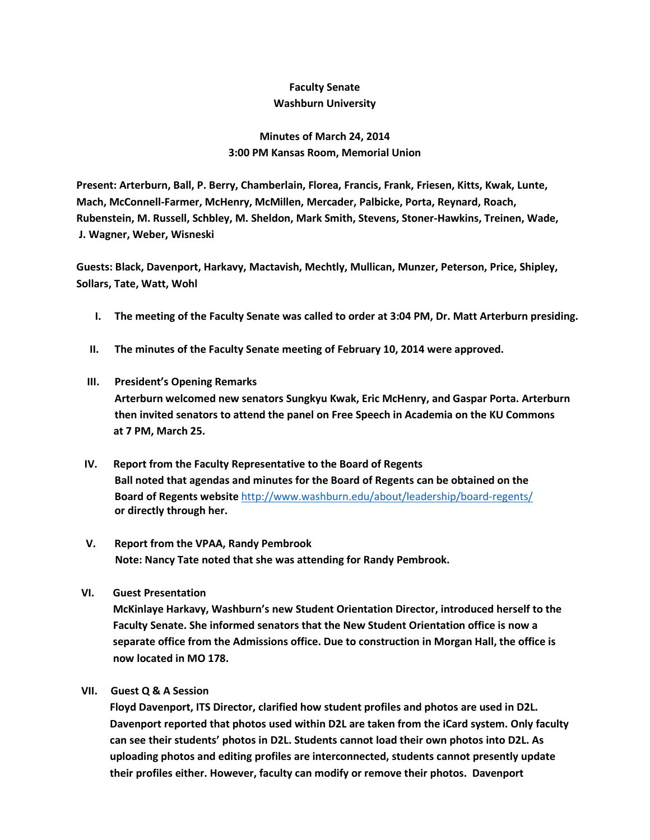## **Faculty Senate Washburn University**

## **Minutes of March 24, 2014 3:00 PM Kansas Room, Memorial Union**

**Present: Arterburn, Ball, P. Berry, Chamberlain, Florea, Francis, Frank, Friesen, Kitts, Kwak, Lunte, Mach, McConnell-Farmer, McHenry, McMillen, Mercader, Palbicke, Porta, Reynard, Roach, Rubenstein, M. Russell, Schbley, M. Sheldon, Mark Smith, Stevens, Stoner-Hawkins, Treinen, Wade, J. Wagner, Weber, Wisneski**

**Guests: Black, Davenport, Harkavy, Mactavish, Mechtly, Mullican, Munzer, Peterson, Price, Shipley, Sollars, Tate, Watt, Wohl**

- **I. The meeting of the Faculty Senate was called to order at 3:04 PM, Dr. Matt Arterburn presiding.**
- **II. The minutes of the Faculty Senate meeting of February 10, 2014 were approved.**
- **III. President's Opening Remarks Arterburn welcomed new senators Sungkyu Kwak, Eric McHenry, and Gaspar Porta. Arterburn then invited senators to attend the panel on Free Speech in Academia on the KU Commons at 7 PM, March 25.**
- **IV. Report from the Faculty Representative to the Board of Regents Ball noted that agendas and minutes for the Board of Regents can be obtained on the Board of Regents website** <http://www.washburn.edu/about/leadership/board-regents/> **or directly through her.**
- **V. Report from the VPAA, Randy Pembrook Note: Nancy Tate noted that she was attending for Randy Pembrook.**
- **VI. Guest Presentation**

 **McKinlaye Harkavy, Washburn's new Student Orientation Director, introduced herself to the Faculty Senate. She informed senators that the New Student Orientation office is now a separate office from the Admissions office. Due to construction in Morgan Hall, the office is now located in MO 178.**

**VII. Guest Q & A Session**

**Floyd Davenport, ITS Director, clarified how student profiles and photos are used in D2L. Davenport reported that photos used within D2L are taken from the iCard system. Only faculty can see their students' photos in D2L. Students cannot load their own photos into D2L. As uploading photos and editing profiles are interconnected, students cannot presently update their profiles either. However, faculty can modify or remove their photos. Davenport**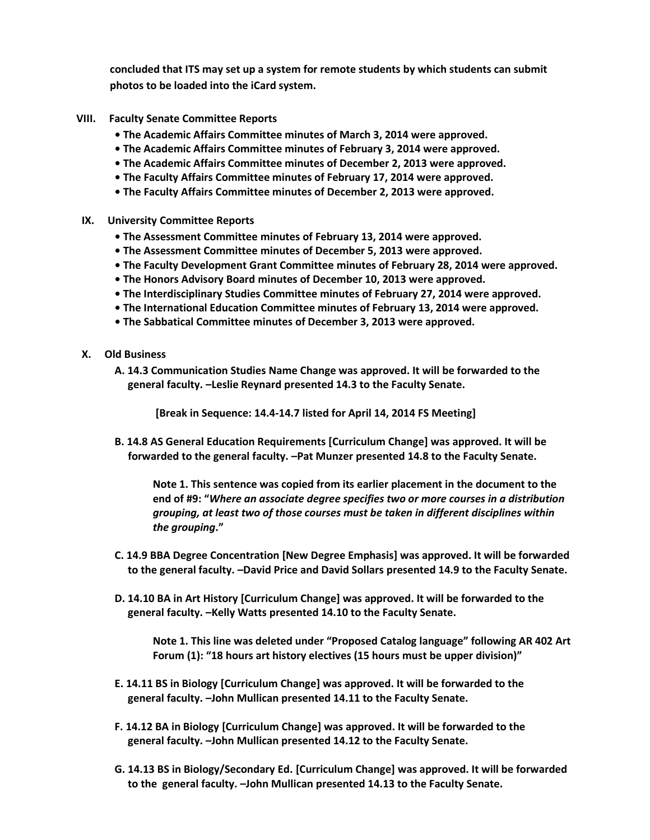**concluded that ITS may set up a system for remote students by which students can submit photos to be loaded into the iCard system.** 

- **VIII. Faculty Senate Committee Reports**
	- **The Academic Affairs Committee minutes of March 3, 2014 were approved.**
	- **The Academic Affairs Committee minutes of February 3, 2014 were approved.**
	- **The Academic Affairs Committee minutes of December 2, 2013 were approved.**
	- **The Faculty Affairs Committee minutes of February 17, 2014 were approved.**
	- **The Faculty Affairs Committee minutes of December 2, 2013 were approved.**
- **IX. University Committee Reports**
	- **The Assessment Committee minutes of February 13, 2014 were approved.**
	- **• The Assessment Committee minutes of December 5, 2013 were approved.**
	- **The Faculty Development Grant Committee minutes of February 28, 2014 were approved.**
	- **The Honors Advisory Board minutes of December 10, 2013 were approved.**
	- **The Interdisciplinary Studies Committee minutes of February 27, 2014 were approved.**
	- **The International Education Committee minutes of February 13, 2014 were approved.**
	- **The Sabbatical Committee minutes of December 3, 2013 were approved.**
- **X. Old Business**
	- **A. 14.3 Communication Studies Name Change was approved. It will be forwarded to the general faculty. –Leslie Reynard presented 14.3 to the Faculty Senate.**

**[Break in Sequence: 14.4-14.7 listed for April 14, 2014 FS Meeting]**

**B. 14.8 AS General Education Requirements [Curriculum Change] was approved. It will be forwarded to the general faculty. –Pat Munzer presented 14.8 to the Faculty Senate.**

**Note 1. This sentence was copied from its earlier placement in the document to the end of #9: "***Where an associate degree specifies two or more courses in a distribution grouping, at least two of those courses must be taken in different disciplines within the grouping***."**

- **C. 14.9 BBA Degree Concentration [New Degree Emphasis] was approved. It will be forwarded to the general faculty. –David Price and David Sollars presented 14.9 to the Faculty Senate.**
- **D. 14.10 BA in Art History [Curriculum Change] was approved. It will be forwarded to the general faculty. –Kelly Watts presented 14.10 to the Faculty Senate.**

**Note 1. This line was deleted under "Proposed Catalog language" following AR 402 Art Forum (1): "18 hours art history electives (15 hours must be upper division)"** 

- **E. 14.11 BS in Biology [Curriculum Change] was approved. It will be forwarded to the general faculty. –John Mullican presented 14.11 to the Faculty Senate.**
- **F. 14.12 BA in Biology [Curriculum Change] was approved. It will be forwarded to the general faculty. –John Mullican presented 14.12 to the Faculty Senate.**
- **G. 14.13 BS in Biology/Secondary Ed. [Curriculum Change] was approved. It will be forwarded to the general faculty. –John Mullican presented 14.13 to the Faculty Senate.**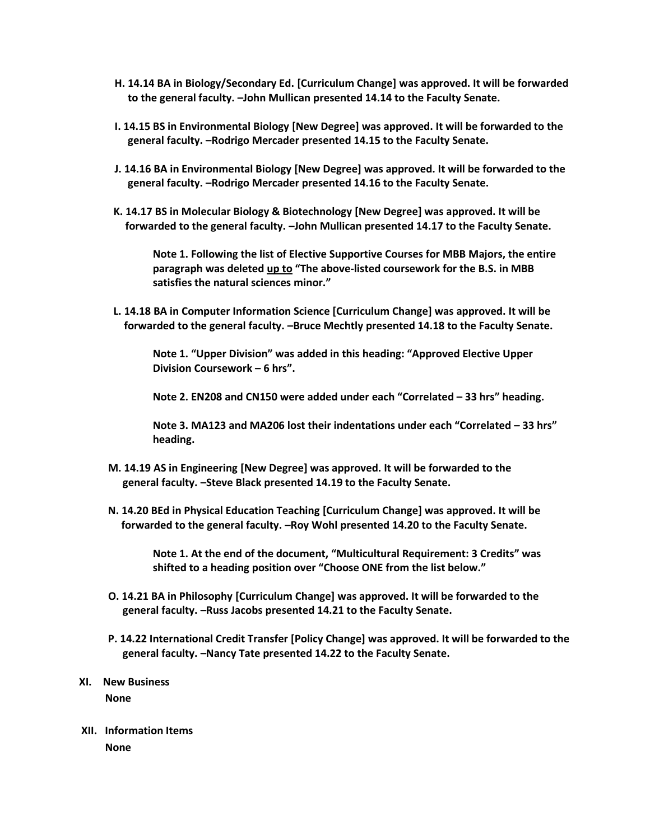- **H. 14.14 BA in Biology/Secondary Ed. [Curriculum Change] was approved. It will be forwarded to the general faculty. –John Mullican presented 14.14 to the Faculty Senate.**
- **I. 14.15 BS in Environmental Biology [New Degree] was approved. It will be forwarded to the general faculty. –Rodrigo Mercader presented 14.15 to the Faculty Senate.**
- **J. 14.16 BA in Environmental Biology [New Degree] was approved. It will be forwarded to the general faculty. –Rodrigo Mercader presented 14.16 to the Faculty Senate.**
- **K. 14.17 BS in Molecular Biology & Biotechnology [New Degree] was approved. It will be forwarded to the general faculty. –John Mullican presented 14.17 to the Faculty Senate.**

**Note 1. Following the list of Elective Supportive Courses for MBB Majors, the entire paragraph was deleted up to "The above-listed coursework for the B.S. in MBB satisfies the natural sciences minor."**

 **L. 14.18 BA in Computer Information Science [Curriculum Change] was approved. It will be forwarded to the general faculty. –Bruce Mechtly presented 14.18 to the Faculty Senate.**

**Note 1. "Upper Division" was added in this heading: "Approved Elective Upper Division Coursework – 6 hrs".**

**Note 2. EN208 and CN150 were added under each "Correlated – 33 hrs" heading.**

**Note 3. MA123 and MA206 lost their indentations under each "Correlated – 33 hrs" heading.**

- **M. 14.19 AS in Engineering [New Degree] was approved. It will be forwarded to the general faculty. –Steve Black presented 14.19 to the Faculty Senate.**
- **N. 14.20 BEd in Physical Education Teaching [Curriculum Change] was approved. It will be forwarded to the general faculty. –Roy Wohl presented 14.20 to the Faculty Senate.**

**Note 1. At the end of the document, "Multicultural Requirement: 3 Credits" was shifted to a heading position over "Choose ONE from the list below."**

- **O. 14.21 BA in Philosophy [Curriculum Change] was approved. It will be forwarded to the general faculty. –Russ Jacobs presented 14.21 to the Faculty Senate.**
- **P. 14.22 International Credit Transfer [Policy Change] was approved. It will be forwarded to the general faculty. –Nancy Tate presented 14.22 to the Faculty Senate.**

## **XI. New Business**

**None**

**XII. Information Items None**